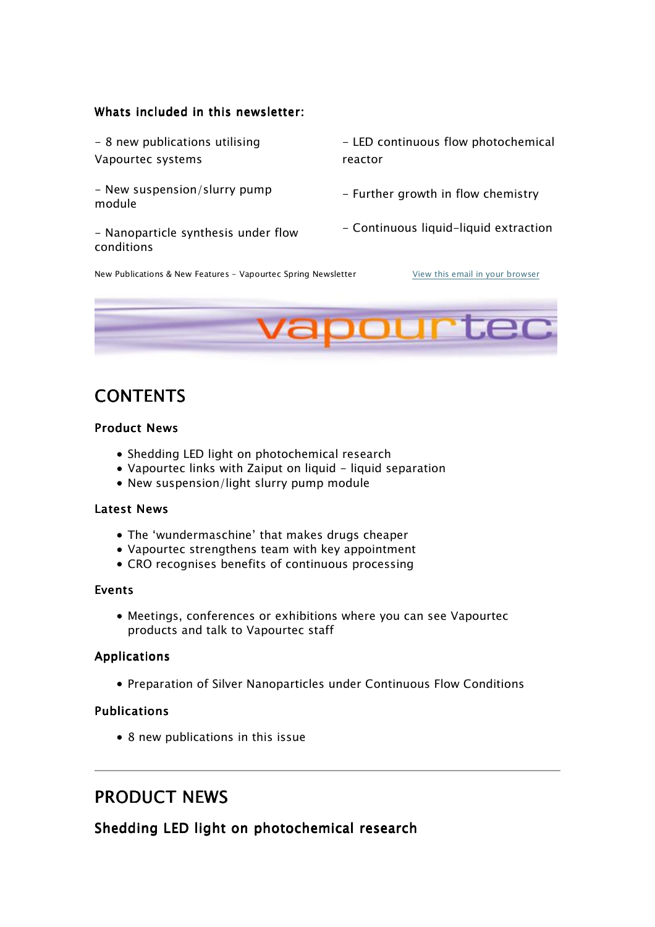#### Whats included in this newsletter:

- 8 new publications utilising Vapourtec systems

- New suspension/slurry pump module

- Nanoparticle synthesis under flow conditions

- LED continuous flow photochemical reactor

- Further growth in flow chemistry
- Continuous liquid-liquid extraction

New Publications & New Features - Vapourtec Spring Newsletter View this email in your browser



# **CONTENTS**

#### Product News

- Shedding LED light on photochemical research
- Vapourtec links with Zaiput on liquid liquid separation
- New suspension/light slurry pump module

#### **Latest News**

- The 'wundermaschine' that makes drugs cheaper
- Vapourtec strengthens team with key appointment
- CRO recognises benefits of continuous processing

#### Events

Meetings, conferences or exhibitions where you can see Vapourtec products and talk to Vapourtec staff

#### **Applications**

Preparation of Silver Nanoparticles under Continuous Flow Conditions

#### Publications

• 8 new publications in this issue

# **PRODUCT NEWS**

Shedding LED light on photochemical research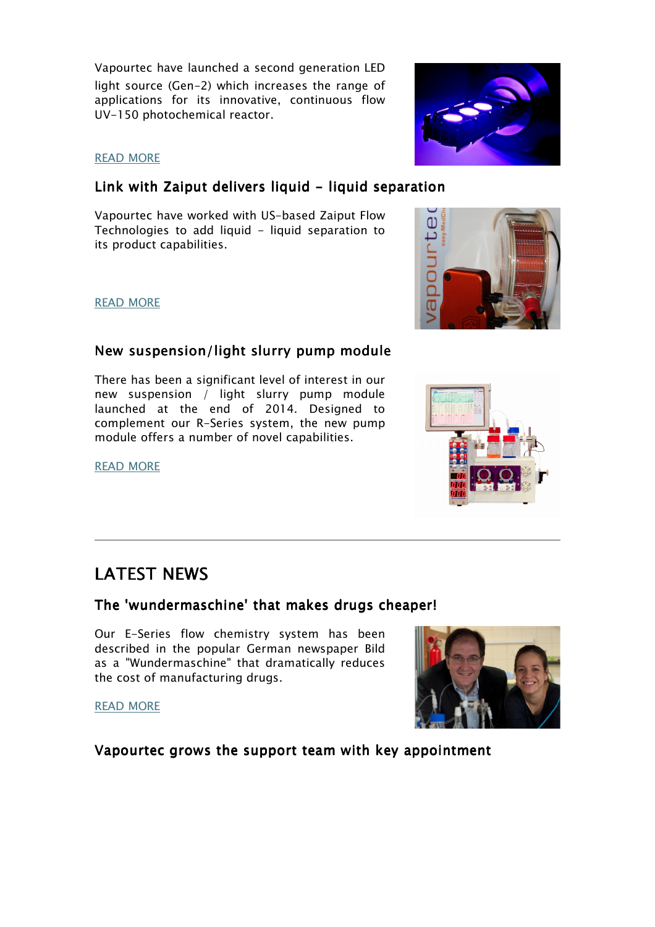Vapourtec have launched a second generation LED light source (Gen-2) which increases the range of applications for its innovative, continuous flow UV-150 photochemical reactor.

### READ MORE

## Link with Zaiput delivers liquid - liquid separation

Vapourtec have worked with US-based Zaiput Flow Technologies to add liquid - liquid separation to its product capabilities.

#### READ MORE

## New suspension/light slurry pump module

There has been a significant level of interest in our new suspension / light slurry pump module launched at the end of 2014. Designed to complement our R-Series system, the new pump module offers a number of novel capabilities.

READ MORE

# **LATEST NEWS**

## The 'wundermaschine' that makes drugs cheaper!

Our E-Series flow chemistry system has been described in the popular German newspaper Bild as a "Wundermaschine" that dramatically reduces the cost of manufacturing drugs.

READ MORE

Vapourtec grows the support team with key appointment









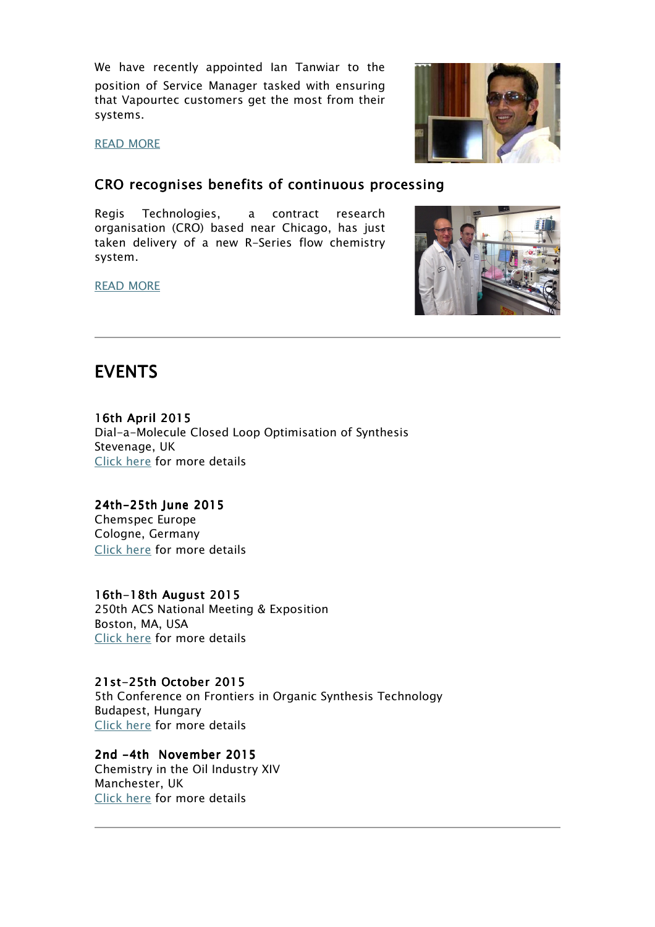We have recently appointed Ian Tanwiar to the position of Service Manager tasked with ensuring that Vapourtec customers get the most from their systems.

READ MORE

## CRO recognises benefits of continuous processing

Regis Technologies, a contract research organisation (CRO) based near Chicago, has just taken delivery of a new R-Series flow chemistry system.

READ MORE





# **EVENTS**

16th April 2015 Dial-a-Molecule Closed Loop Optimisation of Synthesis Stevenage, UK Click here for more details

24th-25th June 2015 Chemspec Europe Cologne, Germany Click here for more details

## 16th-18th August 2015

250th ACS National Meeting & Exposition Boston, MA, USA Click here for more details

## 21st-25th October 2015 21st-25th October 2015

5th Conference on Frontiers in Organic Synthesis Technology Budapest, Hungary Click here for more details

2nd -4th November 2015 2nd -4th November 2015

Chemistry in the Oil Industry XIV Manchester, UK Click here for more details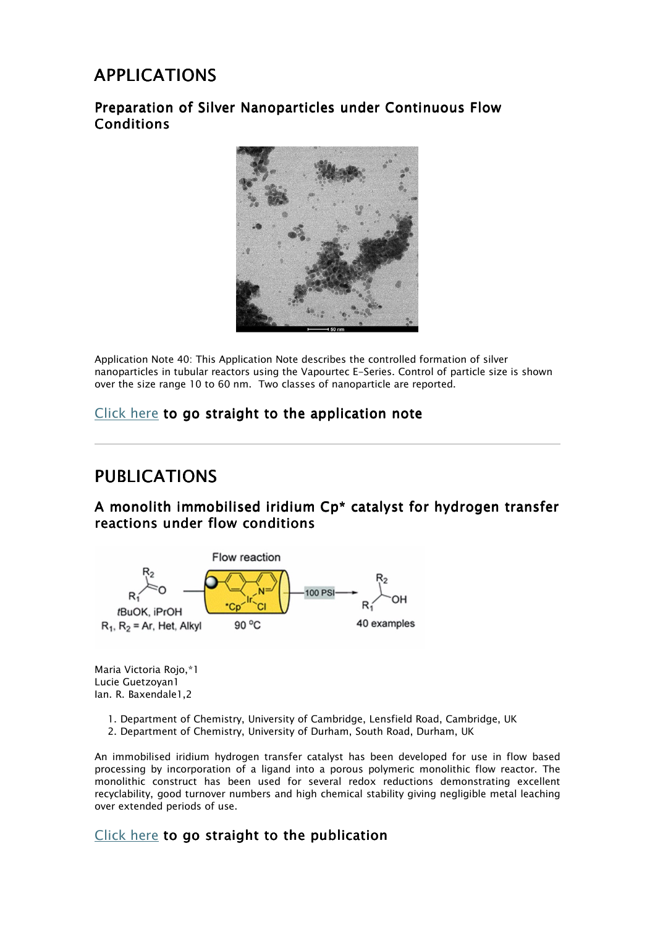# APPLICATIONS

## Preparation of Silver Nanoparticles under Continuous Flow Conditions



Application Note 40: This Application Note describes the controlled formation of silver nanoparticles in tubular reactors using the Vapourtec E-Series. Control of particle size is shown over the size range 10 to 60 nm. Two classes of nanoparticle are reported.

## Click here to go straight to the application note

## PUBLICATIONS

## A monolith immobilised iridium Cp\* catalyst for hydrogen transfer reactions under flow conditions



Maria Victoria Rojo,\*1 Lucie Guetzoyan1 Ian. R. Baxendale1,2

- 1. Department of Chemistry, University of Cambridge, Lensfield Road, Cambridge, UK
- 2. Department of Chemistry, University of Durham, South Road, Durham, UK

An immobilised iridium hydrogen transfer catalyst has been developed for use in flow based processing by incorporation of a ligand into a porous polymeric monolithic flow reactor. The monolithic construct has been used for several redox reductions demonstrating excellent recyclability, good turnover numbers and high chemical stability giving negligible metal leaching over extended periods of use.

## $Click here to go straight to the publication$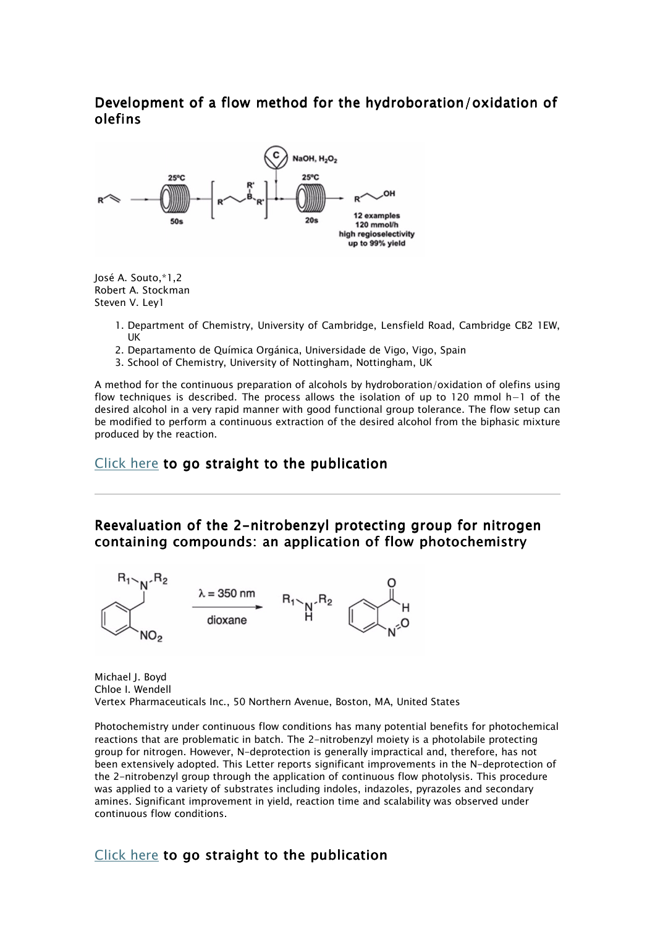## Development of a flow method for the hydroboration/oxidation of olefins



José A. Souto,\*1,2 Robert A. Stockman Steven V. Ley1

- 1. Department of Chemistry, University of Cambridge, Lensfield Road, Cambridge CB2 1EW, UK
- 2. Departamento de Química Orgánica, Universidade de Vigo, Vigo, Spain
- 3. School of Chemistry, University of Nottingham, Nottingham, UK

A method for the continuous preparation of alcohols by hydroboration/oxidation of olefins using flow techniques is described. The process allows the isolation of up to 120 mmol h−1 of the desired alcohol in a very rapid manner with good functional group tolerance. The flow setup can be modified to perform a continuous extraction of the desired alcohol from the biphasic mixture produced by the reaction.

### Click here to go straight to the publication

Reevaluation of the 2-nitrobenzyl protecting group for nitrogen containing compounds: an application of flow photochemistry



Michael J. Boyd Chloe I. Wendell Vertex Pharmaceuticals Inc., 50 Northern Avenue, Boston, MA, United States

Photochemistry under continuous flow conditions has many potential benefits for photochemical reactions that are problematic in batch. The 2-nitrobenzyl moiety is a photolabile protecting group for nitrogen. However, N-deprotection is generally impractical and, therefore, has not been extensively adopted. This Letter reports significant improvements in the N-deprotection of the 2-nitrobenzyl group through the application of continuous flow photolysis. This procedure was applied to a variety of substrates including indoles, indazoles, pyrazoles and secondary amines. Significant improvement in yield, reaction time and scalability was observed under continuous flow conditions.

### Click here to go straight to the publication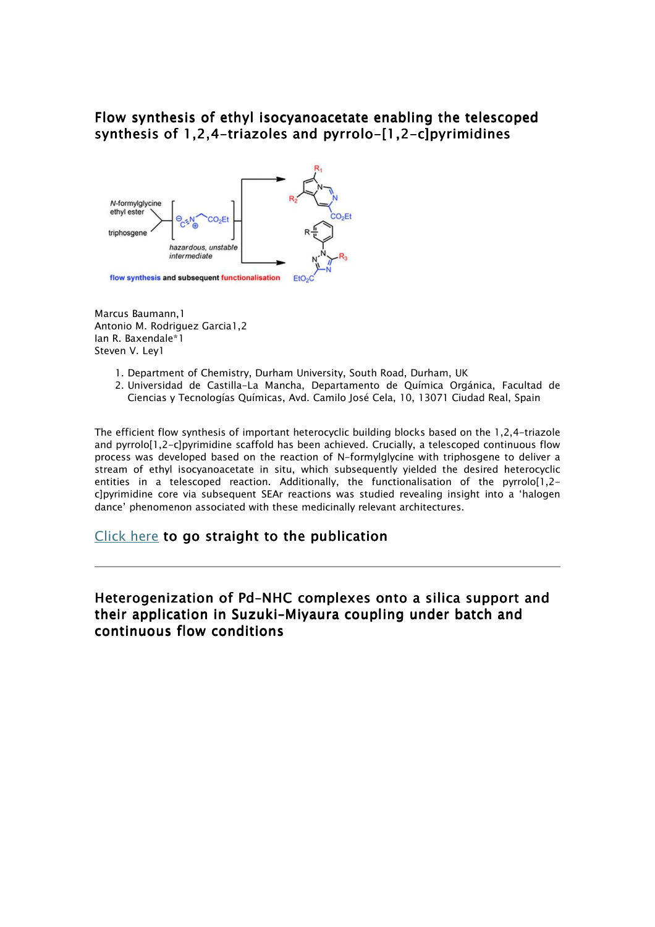## Flow synthesis of ethyl isocyanoacetate enabling the telescoped synthesis of 1,2,4-triazoles and pyrrolo-[1,2-c]pyrimidines



Marcus Baumann,1 Antonio M. Rodriguez Garcia1,2 Ian R. Baxendale\*1 Steven V. Ley1

- 1. Department of Chemistry, Durham University, South Road, Durham, UK
- 2. Universidad de Castilla-La Mancha, Departamento de Química Orgánica, Facultad de Ciencias y Tecnologías Químicas, Avd. Camilo José Cela, 10, 13071 Ciudad Real, Spain

The efficient flow synthesis of important heterocyclic building blocks based on the 1,2,4-triazole and pyrrolo[1,2-c]pyrimidine scaffold has been achieved. Crucially, a telescoped continuous flow process was developed based on the reaction of N-formylglycine with triphosgene to deliver a stream of ethyl isocyanoacetate in situ, which subsequently yielded the desired heterocyclic entities in a telescoped reaction. Additionally, the functionalisation of the pyrrolo[1,2 c]pyrimidine core via subsequent SEAr reactions was studied revealing insight into a 'halogen dance' phenomenon associated with these medicinally relevant architectures.

### Click here to go straight to the publication

## Heterogenization of Pd–NHC complexes onto a silica support and their application in Suzuki–Miyaura coupling under batch and continuous flow conditions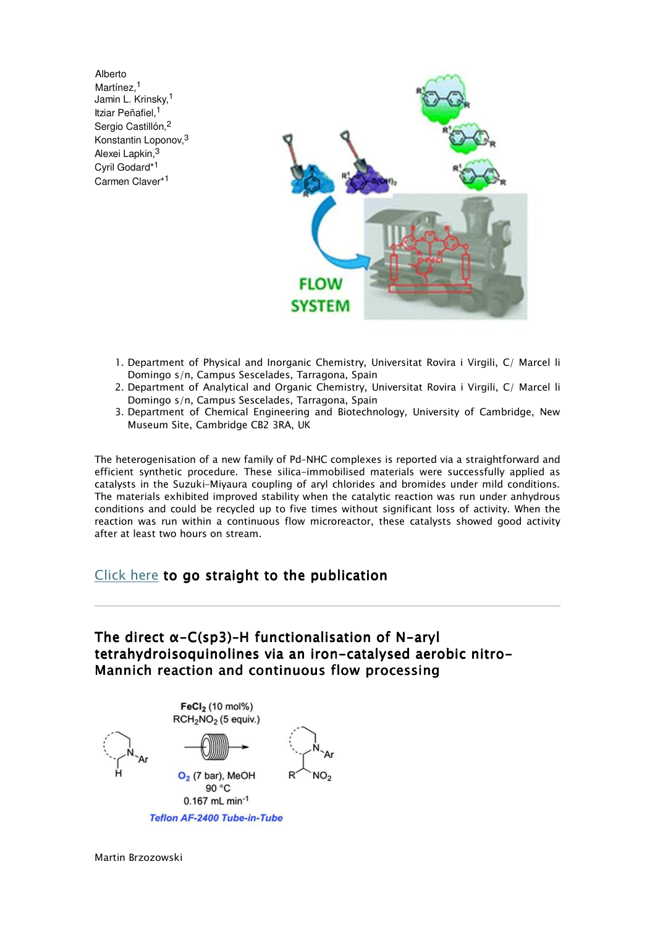Alberto Martínez.<sup>1</sup> Jamin L. Krinsky,<sup>1</sup> Itziar Peñafiel,<sup>1</sup> Sergio Castillón,<sup>2</sup> Konstantin Loponov,<sup>3</sup> Alexei Lapkin,<sup>3</sup> Cyril Godard\*<sup>1</sup> Carmen Claver\*<sup>1</sup>



- 1. Department of Physical and Inorganic Chemistry, Universitat Rovira i Virgili, C/ Marcel li Domingo s/n, Campus Sescelades, Tarragona, Spain
- 2. Department of Analytical and Organic Chemistry, Universitat Rovira i Virgili, C/ Marcel li Domingo s/n, Campus Sescelades, Tarragona, Spain
- 3. Department of Chemical Engineering and Biotechnology, University of Cambridge, New Museum Site, Cambridge CB2 3RA, UK

The heterogenisation of a new family of Pd–NHC complexes is reported via a straightforward and efficient synthetic procedure. These silica-immobilised materials were successfully applied as catalysts in the Suzuki–Miyaura coupling of aryl chlorides and bromides under mild conditions. The materials exhibited improved stability when the catalytic reaction was run under anhydrous conditions and could be recycled up to five times without significant loss of activity. When the reaction was run within a continuous flow microreactor, these catalysts showed good activity after at least two hours on stream.

### Click here to go straight to the publication

## The direct α-C(sp3)–H functionalisation of N-aryl tetrahydroisoquinolines via an iron-catalysed aerobic nitro-Mannich reaction and continuous flow processing



Martin Brzozowski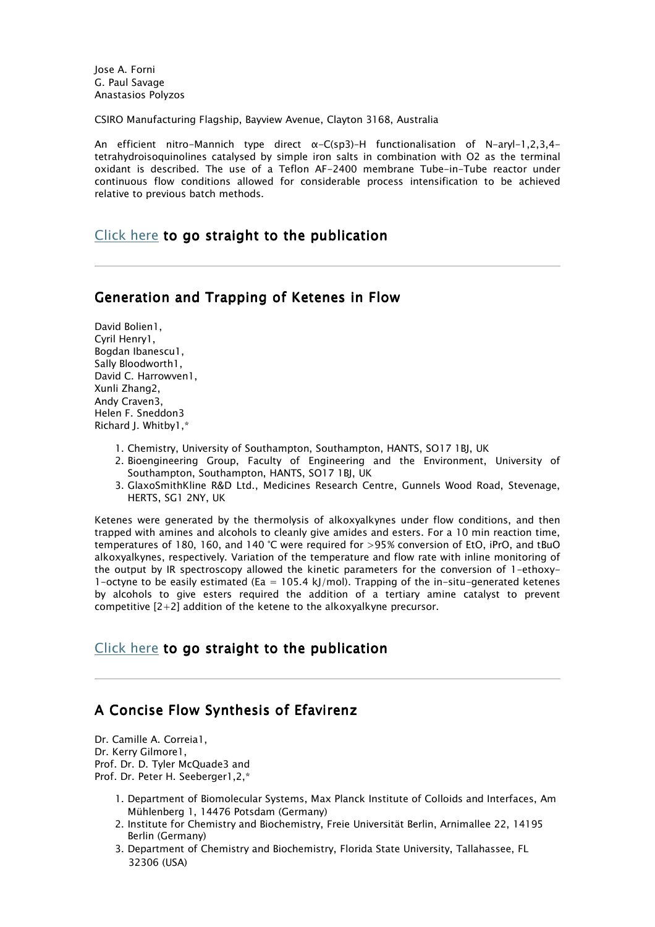Jose A. Forni G. Paul Savage Anastasios Polyzos

CSIRO Manufacturing Flagship, Bayview Avenue, Clayton 3168, Australia

An efficient nitro-Mannich type direct α-C(sp3)–H functionalisation of N-aryl-1,2,3,4 tetrahydroisoquinolines catalysed by simple iron salts in combination with O2 as the terminal oxidant is described. The use of a Teflon AF-2400 membrane Tube-in-Tube reactor under continuous flow conditions allowed for considerable process intensification to be achieved relative to previous batch methods.

### Click here to go straight to the publication

#### Generation and Trapping of Ketenes in Flow

David Bolien1, Cyril Henry1, Bogdan Ibanescu1, Sally Bloodworth1, David C. Harrowven1, Xunli Zhang2, Andy Craven3, Helen F. Sneddon3 Richard J. Whitby1,\*

- 1. Chemistry, University of Southampton, Southampton, HANTS, SO17 1BJ, UK
- 2. Bioengineering Group, Faculty of Engineering and the Environment, University of Southampton, Southampton, HANTS, SO17 1BJ, UK
- 3. GlaxoSmithKline R&D Ltd., Medicines Research Centre, Gunnels Wood Road, Stevenage, HERTS, SG1 2NY, UK

Ketenes were generated by the thermolysis of alkoxyalkynes under flow conditions, and then trapped with amines and alcohols to cleanly give amides and esters. For a 10 min reaction time, temperatures of 180, 160, and 140 °C were required for >95% conversion of EtO, iPrO, and tBuO alkoxyalkynes, respectively. Variation of the temperature and flow rate with inline monitoring of the output by IR spectroscopy allowed the kinetic parameters for the conversion of 1-ethoxy-1-octyne to be easily estimated (Ea =  $105.4$  kJ/mol). Trapping of the in-situ-generated ketenes by alcohols to give esters required the addition of a tertiary amine catalyst to prevent competitive  $[2+2]$  addition of the ketene to the alkoxyalkyne precursor.

### Click here to go straight to the publication

## A Concise Flow Synthesis of Efavirenz

Dr. Camille A. Correia1, Dr. Kerry Gilmore1, Prof. Dr. D. Tyler McQuade3 and Prof. Dr. Peter H. Seeberger1,2,\*

- 1. Department of Biomolecular Systems, Max Planck Institute of Colloids and Interfaces, Am Mühlenberg 1, 14476 Potsdam (Germany)
- 2. Institute for Chemistry and Biochemistry, Freie Universität Berlin, Arnimallee 22, 14195 Berlin (Germany)
- 3. Department of Chemistry and Biochemistry, Florida State University, Tallahassee, FL 32306 (USA)